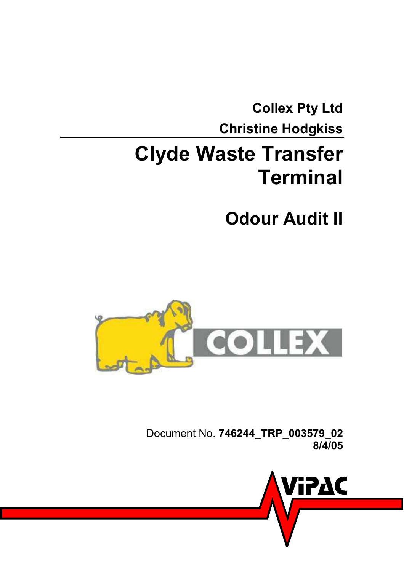<span id="page-0-0"></span>**[Collex Pty Ltd](#page-0-0)  [Christine Hodgkiss](#page-0-1)** 

# <span id="page-0-1"></span>**[Clyde Waste Transfer](#page-0-1)  [Terminal](#page-0-1)**

<span id="page-0-2"></span>**[Odour Audit II](#page-0-2)** 



Document No. **[746244\\_TRP\\_003579\\_02](#page-0-3)  [8/4/05](#page-0-1)**

<span id="page-0-3"></span>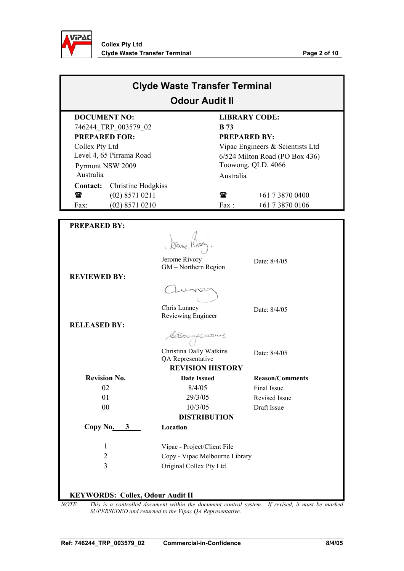

| <b>Clyde Waste Transfer Terminal</b><br><b>Odour Audit II</b> |                    |             |                                  |  |
|---------------------------------------------------------------|--------------------|-------------|----------------------------------|--|
| <b>DOCUMENT NO:</b>                                           |                    |             | <b>LIBRARY CODE:</b>             |  |
| 746244 TRP 003579 02                                          |                    | <b>B</b> 73 |                                  |  |
| <b>PREPARED FOR:</b>                                          |                    |             | <b>PREPARED BY:</b>              |  |
| Collex Pty Ltd                                                |                    |             | Vipac Engineers & Scientists Ltd |  |
| Level 4, 65 Pirrama Road                                      |                    |             | 6/524 Milton Road (PO Box 436)   |  |
| Pyrmont NSW 2009                                              |                    |             | Toowong, QLD. 4066               |  |
| Australia                                                     |                    | Australia   |                                  |  |
| Contact:                                                      | Christine Hodgkiss |             |                                  |  |
| $(02)$ 8571 0211<br>t                                         |                    | ☎           | $+61$ 7 3870 0400                |  |
| $(02)$ 8571 0210<br>Fax:                                      |                    | Fax:        | $+61738700106$                   |  |
|                                                               |                    |             |                                  |  |
| <b>PREPARED BY:</b>                                           |                    |             |                                  |  |

|                                         | Jerome Rivory                                | Date: 8/4/05                                                                                                |
|-----------------------------------------|----------------------------------------------|-------------------------------------------------------------------------------------------------------------|
|                                         | GM - Northern Region                         |                                                                                                             |
| <b>REVIEWED BY:</b>                     |                                              |                                                                                                             |
|                                         | Chris Lunney                                 | Date: 8/4/05                                                                                                |
|                                         | Reviewing Engineer                           |                                                                                                             |
| <b>RELEASED BY:</b>                     |                                              |                                                                                                             |
|                                         | CDampsathus                                  |                                                                                                             |
|                                         | Christina Dally Watkins<br>QA Representative | Date: 8/4/05                                                                                                |
|                                         | <b>REVISION HISTORY</b>                      |                                                                                                             |
| <b>Revision No.</b>                     | <b>Date Issued</b>                           | <b>Reason/Comments</b>                                                                                      |
| 02                                      | 8/4/05                                       | Final Issue                                                                                                 |
| 01                                      | 29/3/05                                      | <b>Revised Issue</b>                                                                                        |
| 00                                      | 10/3/05                                      | Draft Issue                                                                                                 |
|                                         | <b>DISTRIBUTION</b>                          |                                                                                                             |
| Copy No.<br>$3^{\circ}$                 | Location                                     |                                                                                                             |
| 1                                       | Vipac - Project/Client File                  |                                                                                                             |
| $\overline{2}$                          | Copy - Vipac Melbourne Library               |                                                                                                             |
| $\overline{3}$                          | Original Collex Pty Ltd                      |                                                                                                             |
| <b>KEYWORDS: Collex, Odour Audit II</b> |                                              | $I$ $OTE$ . This is a controlled decument within the decument control system. If revised it must be maybeen |

*NOTE: This is a controlled document within the document control system. If revised, it must be marked SUPERSEDED and returned to the Vipac QA Representative.*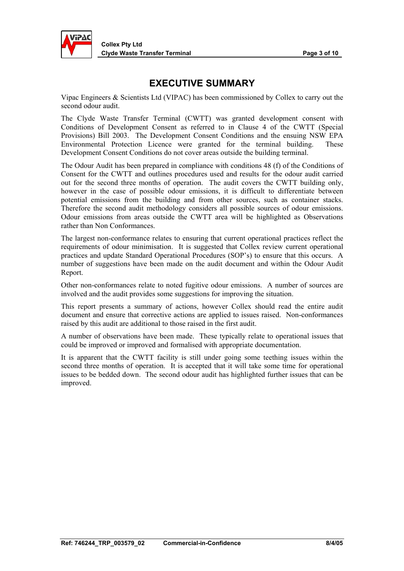

### **EXECUTIVE SUMMARY**

Vipac Engineers & Scientists Ltd (VIPAC) has been commissioned by Collex to carry out the second odour audit.

The Clyde Waste Transfer Terminal (CWTT) was granted development consent with Conditions of Development Consent as referred to in Clause 4 of the CWTT (Special Provisions) Bill 2003. The Development Consent Conditions and the ensuing NSW EPA Environmental Protection Licence were granted for the terminal building. These Development Consent Conditions do not cover areas outside the building terminal.

The Odour Audit has been prepared in compliance with conditions 48 (f) of the Conditions of Consent for the CWTT and outlines procedures used and results for the odour audit carried out for the second three months of operation. The audit covers the CWTT building only, however in the case of possible odour emissions, it is difficult to differentiate between potential emissions from the building and from other sources, such as container stacks. Therefore the second audit methodology considers all possible sources of odour emissions. Odour emissions from areas outside the CWTT area will be highlighted as Observations rather than Non Conformances.

The largest non-conformance relates to ensuring that current operational practices reflect the requirements of odour minimisation. It is suggested that Collex review current operational practices and update Standard Operational Procedures (SOP's) to ensure that this occurs. A number of suggestions have been made on the audit document and within the Odour Audit Report.

Other non-conformances relate to noted fugitive odour emissions. A number of sources are involved and the audit provides some suggestions for improving the situation.

This report presents a summary of actions, however Collex should read the entire audit document and ensure that corrective actions are applied to issues raised. Non-conformances raised by this audit are additional to those raised in the first audit.

A number of observations have been made. These typically relate to operational issues that could be improved or improved and formalised with appropriate documentation.

It is apparent that the CWTT facility is still under going some teething issues within the second three months of operation. It is accepted that it will take some time for operational issues to be bedded down. The second odour audit has highlighted further issues that can be improved.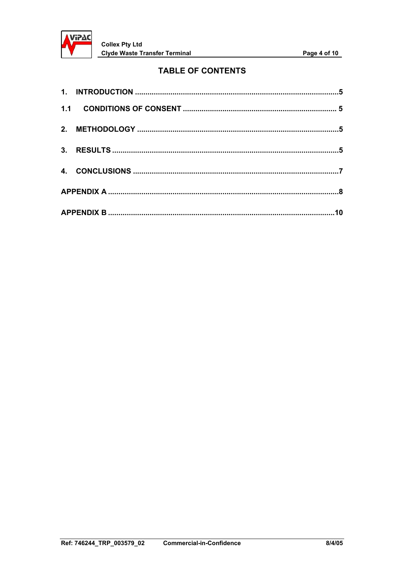

#### **TABLE OF CONTENTS**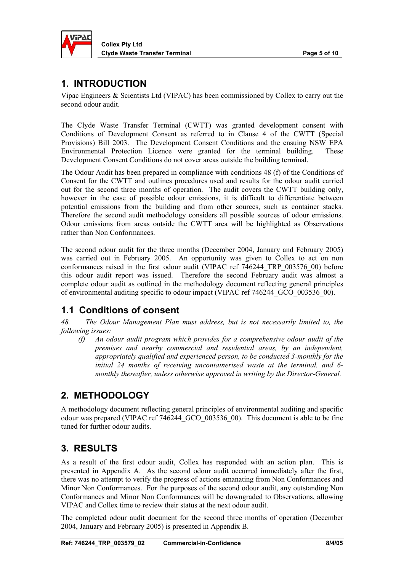<span id="page-4-0"></span>

**Collex Pty Ltd Clyde Waste Transfer Terminal Club Club Club Page 5 of 10** 

#### **1. INTRODUCTION**

Vipac Engineers & Scientists Ltd (VIPAC) has been commissioned by Collex to carry out the second odour audit.

The Clyde Waste Transfer Terminal (CWTT) was granted development consent with Conditions of Development Consent as referred to in Clause 4 of the CWTT (Special Provisions) Bill 2003. The Development Consent Conditions and the ensuing NSW EPA Environmental Protection Licence were granted for the terminal building. These Development Consent Conditions do not cover areas outside the building terminal.

The Odour Audit has been prepared in compliance with conditions 48 (f) of the Conditions of Consent for the CWTT and outlines procedures used and results for the odour audit carried out for the second three months of operation. The audit covers the CWTT building only, however in the case of possible odour emissions, it is difficult to differentiate between potential emissions from the building and from other sources, such as container stacks. Therefore the second audit methodology considers all possible sources of odour emissions. Odour emissions from areas outside the CWTT area will be highlighted as Observations rather than Non Conformances.

The second odour audit for the three months (December 2004, January and February 2005) was carried out in February 2005. An opportunity was given to Collex to act on non conformances raised in the first odour audit (VIPAC ref 746244\_TRP\_003576\_00) before this odour audit report was issued. Therefore the second February audit was almost a complete odour audit as outlined in the methodology document reflecting general principles of environmental auditing specific to odour impact (VIPAC ref 746244\_GCO\_003536\_00).

#### **1.1 Conditions of consent**

*48. The Odour Management Plan must address, but is not necessarily limited to, the following issues:* 

*(f) An odour audit program which provides for a comprehensive odour audit of the premises and nearby commercial and residential areas, by an independent, appropriately qualified and experienced person, to be conducted 3-monthly for the initial 24 months of receiving uncontainerised waste at the terminal, and 6 monthly thereafter, unless otherwise approved in writing by the Director-General.* 

# **2. METHODOLOGY**

A methodology document reflecting general principles of environmental auditing and specific odour was prepared (VIPAC ref 746244\_GCO\_003536\_00). This document is able to be fine tuned for further odour audits.

# **3. RESULTS**

As a result of the first odour audit, Collex has responded with an action plan. This is presented in Appendix A. As the second odour audit occurred immediately after the first, there was no attempt to verify the progress of actions emanating from Non Conformances and Minor Non Conformances. For the purposes of the second odour audit, any outstanding Non Conformances and Minor Non Conformances will be downgraded to Observations, allowing VIPAC and Collex time to review their status at the next odour audit.

The completed odour audit document for the second three months of operation (December 2004, January and February 2005) is presented in Appendix B.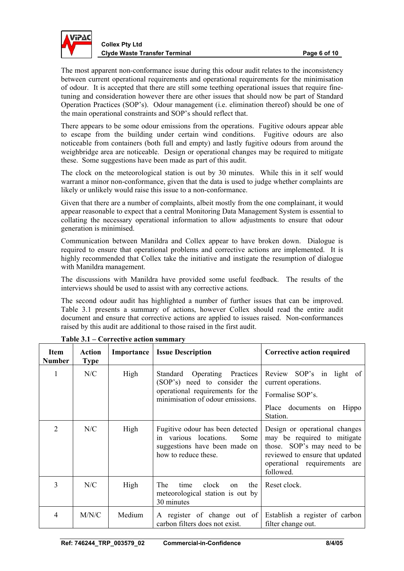

**Collex Pty Ltd Clyde Waste Transfer Terminal Community Clyde Waster Terminal Page 6 of 10 and Page 6 of 10 and Page 8 of 10 and Page 8 of 10 and Page 8 of 10 and Page 8 of 10 and Page 8 of 10 and Page 8 of 10 and Page 8 of 10 and Page 8** 

The most apparent non-conformance issue during this odour audit relates to the inconsistency between current operational requirements and operational requirements for the minimisation of odour. It is accepted that there are still some teething operational issues that require finetuning and consideration however there are other issues that should now be part of Standard Operation Practices (SOP's). Odour management (i.e. elimination thereof) should be one of the main operational constraints and SOP's should reflect that.

There appears to be some odour emissions from the operations. Fugitive odours appear able to escape from the building under certain wind conditions. Fugitive odours are also noticeable from containers (both full and empty) and lastly fugitive odours from around the weighbridge area are noticeable. Design or operational changes may be required to mitigate these. Some suggestions have been made as part of this audit.

The clock on the meteorological station is out by 30 minutes. While this in it self would warrant a minor non-conformance, given that the data is used to judge whether complaints are likely or unlikely would raise this issue to a non-conformance.

Given that there are a number of complaints, albeit mostly from the one complainant, it would appear reasonable to expect that a central Monitoring Data Management System is essential to collating the necessary operational information to allow adjustments to ensure that odour generation is minimised.

Communication between Manildra and Collex appear to have broken down. Dialogue is required to ensure that operational problems and corrective actions are implemented. It is highly recommended that Collex take the initiative and instigate the resumption of dialogue with Manildra management.

The discussions with Manildra have provided some useful feedback. The results of the interviews should be used to assist with any corrective actions.

The second odour audit has highlighted a number of further issues that can be improved. Table 3.1 presents a summary of actions, however Collex should read the entire audit document and ensure that corrective actions are applied to issues raised. Non-conformances raised by this audit are additional to those raised in the first audit.

| <b>Item</b><br><b>Number</b> | <b>Action</b><br><b>Type</b> | Importance | <b>Issue Description</b>                                                                                                             | Corrective action required                                                                                                                                                  |
|------------------------------|------------------------------|------------|--------------------------------------------------------------------------------------------------------------------------------------|-----------------------------------------------------------------------------------------------------------------------------------------------------------------------------|
|                              | N/C                          | High       | Standard Operating Practices<br>(SOP's) need to consider the<br>operational requirements for the<br>minimisation of odour emissions. | Review SOP's in light of<br>current operations.<br>Formalise SOP's.<br>Place documents on<br>Hippo<br>Station.                                                              |
| 2                            | N/C                          | High       | Fugitive odour has been detected<br>in various locations.<br>Some<br>suggestions have been made on<br>how to reduce these.           | Design or operational changes<br>may be required to mitigate<br>those. SOP's may need to be<br>reviewed to ensure that updated<br>operational requirements are<br>followed. |
| 3                            | N/C                          | High       | <b>The</b><br>clock<br>the<br>time<br>$\alpha$<br>meteorological station is out by<br>30 minutes                                     | Reset clock.                                                                                                                                                                |
| 4                            | M/N/C                        | Medium     | A register of change out of<br>carbon filters does not exist.                                                                        | Establish a register of carbon<br>filter change out.                                                                                                                        |

**Table 3.1 – Corrective action summary**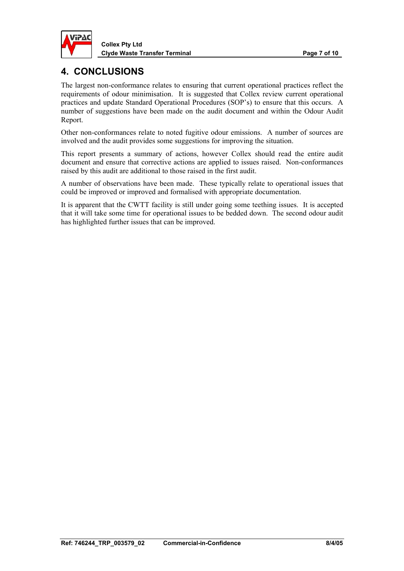<span id="page-6-0"></span>

# **4. CONCLUSIONS**

The largest non-conformance relates to ensuring that current operational practices reflect the requirements of odour minimisation. It is suggested that Collex review current operational practices and update Standard Operational Procedures (SOP's) to ensure that this occurs. A number of suggestions have been made on the audit document and within the Odour Audit Report.

Other non-conformances relate to noted fugitive odour emissions. A number of sources are involved and the audit provides some suggestions for improving the situation.

This report presents a summary of actions, however Collex should read the entire audit document and ensure that corrective actions are applied to issues raised. Non-conformances raised by this audit are additional to those raised in the first audit.

A number of observations have been made. These typically relate to operational issues that could be improved or improved and formalised with appropriate documentation.

It is apparent that the CWTT facility is still under going some teething issues. It is accepted that it will take some time for operational issues to be bedded down. The second odour audit has highlighted further issues that can be improved.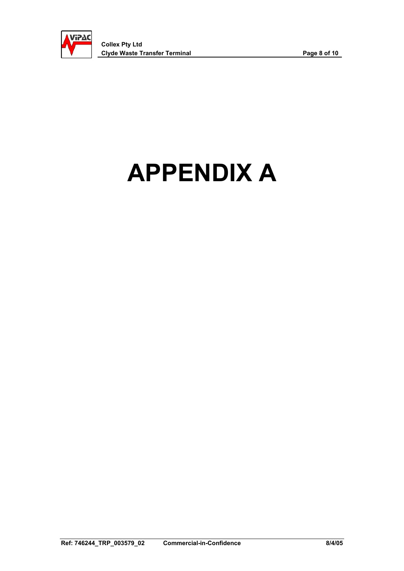<span id="page-7-0"></span>

# **APPENDIX A**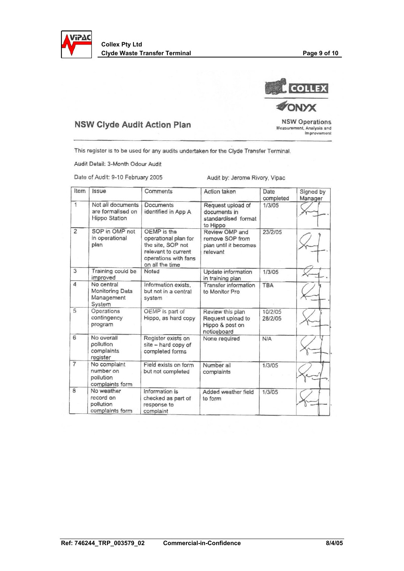



#### **NSW Clyde Audit Action Plan**

**NSW Operations** Measurement, Analysis and<br>Improvement

This register is to be used for any audits undertaken for the Clyde Transfer Terminal.

Audit Detail: 3-Month Odour Audit

Date of Audit: 9-10 February 2005

Audit by: Jerome Rivory, Vipac

| Item                    | <i><b>Issue</b></i>                                          | Comments                                                                                                                   | Action taken                                                            | Date<br>completed  | Signed by<br>Manager |
|-------------------------|--------------------------------------------------------------|----------------------------------------------------------------------------------------------------------------------------|-------------------------------------------------------------------------|--------------------|----------------------|
| $\mathbf{1}$            | Not all documents<br>are formalised on<br>Hippo Station      | Documents<br>identified in App A                                                                                           | Request upload of<br>documents in<br>standardised format<br>to Hippo    | 1/3/05             |                      |
| $\overline{c}$          | SOP in OMP not<br>in operational<br>plan                     | OEMP is the<br>operational plan for<br>the site, SOP not<br>relevant to current<br>operations with fans<br>on all the time | Review OMP and<br>remove SOP from<br>plan until it becomes<br>relevant  | 23/2/05            |                      |
| 3                       | Training could be<br>improved                                | Noted                                                                                                                      | Update information<br>in training plan                                  | 1/3/05             |                      |
| 4                       | No central<br><b>Monitoring Data</b><br>Management<br>System | Information exists.<br>but not in a central<br>system                                                                      | <b>Transfer information</b><br>to Monitor Pro                           | TBA                |                      |
| 5                       | Operations<br>contingency<br>program                         | OEMP is part of<br>Hippo, as hard copy                                                                                     | Review this plan<br>Request upload to<br>Hippo & post on<br>noticeboard | 10/2/05<br>28/2/05 |                      |
| 6                       | No overall<br>pollution<br>complaints<br>register            | Register exists on<br>site - hard copy of<br>completed forms                                                               | None required                                                           | N/A                |                      |
| $\overline{7}$          | No complaint<br>number on<br>pollution<br>complaints form    | Field exists on form<br>but not completed                                                                                  | Number all<br>complaints                                                | 1/3/05             |                      |
| $\overline{\mathbf{a}}$ | No weather<br>record on<br>pollution<br>complaints form      | Information is<br>checked as part of<br>response to<br>complaint                                                           | Added weather field<br>to form                                          | 1/3/05             |                      |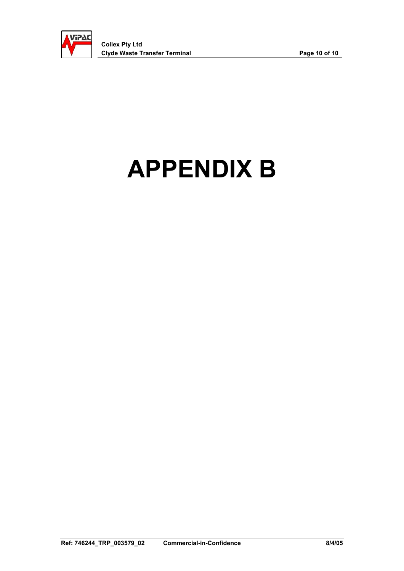<span id="page-9-0"></span>

# **APPENDIX B**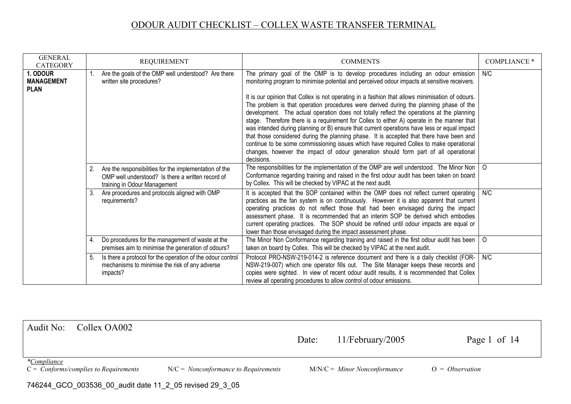| <b>GENERAL</b><br><b>CATEGORY</b>           |    | <b>REQUIREMENT</b>                                                                                                                             | <b>COMMENTS</b>                                                                                                                                                                                                                                                                                                                                                                                                                                                                                                                                                                                                                                                                                                                                                                                                                                                                                                                                                     | <b>COMPLIANCE *</b> |
|---------------------------------------------|----|------------------------------------------------------------------------------------------------------------------------------------------------|---------------------------------------------------------------------------------------------------------------------------------------------------------------------------------------------------------------------------------------------------------------------------------------------------------------------------------------------------------------------------------------------------------------------------------------------------------------------------------------------------------------------------------------------------------------------------------------------------------------------------------------------------------------------------------------------------------------------------------------------------------------------------------------------------------------------------------------------------------------------------------------------------------------------------------------------------------------------|---------------------|
| . ODOUR<br><b>MANAGEMENT</b><br><b>PLAN</b> |    | Are the goals of the OMP well understood? Are there<br>written site procedures?                                                                | The primary goal of the OMP is to develop procedures including an odour emission<br>monitoring program to minimise potential and perceived odour impacts at sensitive receivers.<br>It is our opinion that Collex is not operating in a fashion that allows minimisation of odours.<br>The problem is that operation procedures were derived during the planning phase of the<br>development. The actual operation does not totally reflect the operations at the planning<br>stage. Therefore there is a requirement for Collex to either A) operate in the manner that<br>was intended during planning or B) ensure that current operations have less or equal impact<br>that those considered during the planning phase. It is accepted that there have been and<br>continue to be some commissioning issues which have required Collex to make operational<br>changes, however the impact of odour generation should form part of all operational<br>decisions. | N/C                 |
|                                             |    | 2. Are the responsibilities for the implementation of the<br>OMP well understood? Is there a written record of<br>training in Odour Management | The responsibilities for the implementation of the OMP are well understood. The Minor Non $\vert$ O<br>Conformance regarding training and raised in the first odour audit has been taken on board<br>by Collex. This will be checked by VIPAC at the next audit.                                                                                                                                                                                                                                                                                                                                                                                                                                                                                                                                                                                                                                                                                                    |                     |
|                                             | 3. | Are procedures and protocols aligned with OMP<br>requirements?                                                                                 | It is accepted that the SOP contained within the OMP does not reflect current operating   N/C<br>practices as the fan system is on continuously. However it is also apparent that current<br>operating practices do not reflect those that had been envisaged during the impact<br>assessment phase. It is recommended that an interim SOP be derived which embodies<br>current operating practices. The SOP should be refined until odour impacts are equal or<br>lower than those envisaged during the impact assessment phase.                                                                                                                                                                                                                                                                                                                                                                                                                                   |                     |
|                                             | 4. | Do procedures for the management of waste at the<br>premises aim to minimise the generation of odours?                                         | The Minor Non Conformance regarding training and raised in the first odour audit has been<br>taken on board by Collex. This will be checked by VIPAC at the next audit.                                                                                                                                                                                                                                                                                                                                                                                                                                                                                                                                                                                                                                                                                                                                                                                             | $\circ$             |
|                                             |    | Is there a protocol for the operation of the odour control<br>mechanisms to minimise the risk of any adverse<br>impacts?                       | Protocol PRO-NSW-219-014-2 is reference document and there is a daily checklist (FOR-<br>NSW-219-007) which one operator fills out. The Site Manager keeps these records and<br>copies were sighted. In view of recent odour audit results, it is recommended that Collex<br>review all operating procedures to allow control of odour emissions.                                                                                                                                                                                                                                                                                                                                                                                                                                                                                                                                                                                                                   | N/C                 |

Audit No: Collex OA002 Date: 11/February/2005 Page 1 of 14 *\*<u>Compliance</u>*<br>*C* = *Conforms/complies to Requirements* N/C = *Nonconformance to Requirements* M/N/C = *Minor Nonconformance* O = *Observation* 746244\_GCO\_003536\_00\_audit date 11\_2\_05 revised 29\_3\_05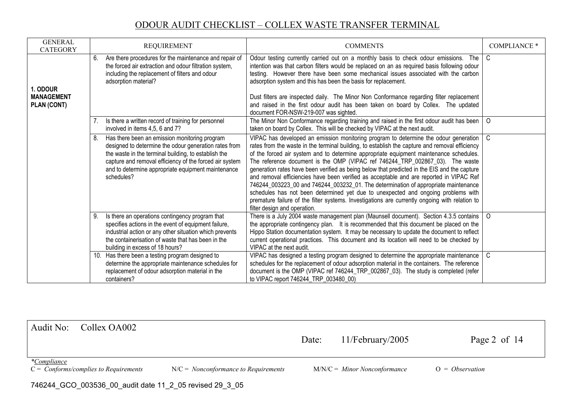| <b>GENERAL</b><br><b>CATEGORY</b> |    | <b>REQUIREMENT</b>                                                                                                                                                                                                                                                                            | <b>COMMENTS</b>                                                                                                                                                                                                                                                                                                                                                                                                                                                                                                                                                                                                                                                                                                                                                                                                                                                                      | <b>COMPLIANCE *</b> |
|-----------------------------------|----|-----------------------------------------------------------------------------------------------------------------------------------------------------------------------------------------------------------------------------------------------------------------------------------------------|--------------------------------------------------------------------------------------------------------------------------------------------------------------------------------------------------------------------------------------------------------------------------------------------------------------------------------------------------------------------------------------------------------------------------------------------------------------------------------------------------------------------------------------------------------------------------------------------------------------------------------------------------------------------------------------------------------------------------------------------------------------------------------------------------------------------------------------------------------------------------------------|---------------------|
| . ODOUR                           |    | 6. Are there procedures for the maintenance and repair of<br>the forced air extraction and odour filtration system,<br>including the replacement of filters and odour<br>adsorption material?                                                                                                 | Odour testing currently carried out on a monthly basis to check odour emissions. The $\mid$ C<br>intention was that carbon filters would be replaced on an as required basis following odour<br>testing. However there have been some mechanical issues associated with the carbon<br>adsorption system and this has been the basis for replacement.                                                                                                                                                                                                                                                                                                                                                                                                                                                                                                                                 |                     |
| <b>MANAGEMENT</b><br>PLAN (CONT)  |    |                                                                                                                                                                                                                                                                                               | Dust filters are inspected daily. The Minor Non Conformance regarding filter replacement<br>and raised in the first odour audit has been taken on board by Collex. The updated<br>document FOR-NSW-219-007 was sighted.                                                                                                                                                                                                                                                                                                                                                                                                                                                                                                                                                                                                                                                              |                     |
|                                   |    | 7. Is there a written record of training for personnel<br>involved in items 4,5, 6 and 7?                                                                                                                                                                                                     | The Minor Non Conformance regarding training and raised in the first odour audit has been $\vert$ O<br>taken on board by Collex. This will be checked by VIPAC at the next audit.                                                                                                                                                                                                                                                                                                                                                                                                                                                                                                                                                                                                                                                                                                    |                     |
|                                   | 8. | Has there been an emission monitoring program<br>designed to determine the odour generation rates from<br>the waste in the terminal building, to establish the<br>capture and removal efficiency of the forced air system<br>and to determine appropriate equipment maintenance<br>schedules? | VIPAC has developed an emission monitoring program to determine the odour generation $\vert$ C<br>rates from the waste in the terminal building, to establish the capture and removal efficiency<br>of the forced air system and to determine appropriate equipment maintenance schedules.<br>The reference document is the OMP (VIPAC ref 746244_TRP_002867_03). The waste<br>generation rates have been verified as being below that predicted in the EIS and the capture<br>and removal efficiencies have been verified as acceptable and are reported in VIPAC Ref<br>746244_003223_00 and 746244_003232_01. The determination of appropriate maintenance<br>schedules has not been determined yet due to unexpected and ongoing problems with<br>premature failure of the filter systems. Investigations are currently ongoing with relation to<br>filter design and operation. |                     |
|                                   | 9. | Is there an operations contingency program that<br>specifies actions in the event of equipment failure,<br>industrial action or any other situation which prevents<br>the containerisation of waste that has been in the<br>building in excess of 18 hours?                                   | There is a July 2004 waste management plan (Maunsell document). Section 4.3.5 contains   O<br>the appropriate contingency plan. It is recommended that this document be placed on the<br>Hippo Station documentation system. It may be necessary to update the document to reflect<br>current operational practices. This document and its location will need to be checked by<br>VIPAC at the next audit.                                                                                                                                                                                                                                                                                                                                                                                                                                                                           |                     |
|                                   |    | 10. Has there been a testing program designed to<br>determine the appropriate maintenance schedules for<br>replacement of odour adsorption material in the<br>containers?                                                                                                                     | VIPAC has designed a testing program designed to determine the appropriate maintenance   C<br>schedules for the replacement of odour adsorption material in the containers. The reference<br>document is the OMP (VIPAC ref 746244 TRP 002867 03). The study is completed (refer<br>to VIPAC report 746244_TRP_003480_00)                                                                                                                                                                                                                                                                                                                                                                                                                                                                                                                                                            |                     |

| Audit No: Collex OA002                                                     |                                        | Date: | $11/Fe$ bruary/2005            | Page 2 of $14$    |  |  |
|----------------------------------------------------------------------------|----------------------------------------|-------|--------------------------------|-------------------|--|--|
| <i>*Compliance</i><br>$C = \text{Conforms}/\text{complex to Requirements}$ | $N/C = Nonconformance to Requirements$ |       | $M/N/C =$ Minor Nonconformance | $Q = Observation$ |  |  |
| 746244 GCO 003536 00 audit date 11 2 05 revised 29 3 05                    |                                        |       |                                |                   |  |  |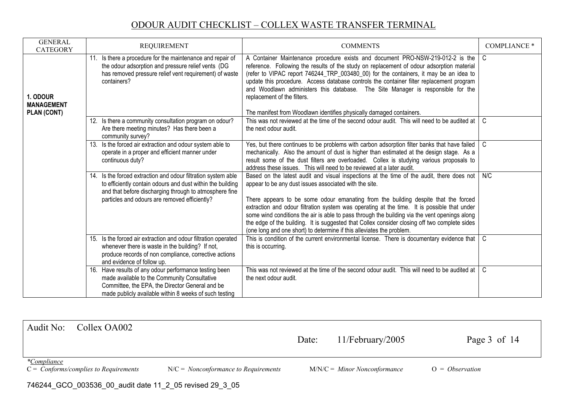| <b>GENERAL</b><br><b>CATEGORY</b>            | <b>REQUIREMENT</b>                                                                                                                                                                                                                     | <b>COMMENTS</b>                                                                                                                                                                                                                                                                                                                                                                                                                                                                                                                                                                                                           | <b>COMPLIANCE *</b> |
|----------------------------------------------|----------------------------------------------------------------------------------------------------------------------------------------------------------------------------------------------------------------------------------------|---------------------------------------------------------------------------------------------------------------------------------------------------------------------------------------------------------------------------------------------------------------------------------------------------------------------------------------------------------------------------------------------------------------------------------------------------------------------------------------------------------------------------------------------------------------------------------------------------------------------------|---------------------|
| 1. ODOUR<br><b>MANAGEMENT</b><br>PLAN (CONT) | 11. Is there a procedure for the maintenance and repair of<br>the odour adsorption and pressure relief vents (DG<br>has removed pressure relief vent requirement) of waste<br>containers?                                              | A Container Maintenance procedure exists and document PRO-NSW-219-012-2 is the $\mid$ C<br>reference. Following the results of the study on replacement of odour adsorption material<br>(refer to VIPAC report 746244_TRP_003480_00) for the containers, it may be an idea to<br>update this procedure. Access database controls the container filter replacement program<br>and Woodlawn administers this database. The Site Manager is responsible for the<br>replacement of the filters.<br>The manifest from Woodlawn identifies physically damaged containers.                                                       |                     |
|                                              | 12. Is there a community consultation program on odour?<br>Are there meeting minutes? Has there been a<br>community survey?                                                                                                            | This was not reviewed at the time of the second odour audit. This will need to be audited at   C<br>the next odour audit.                                                                                                                                                                                                                                                                                                                                                                                                                                                                                                 |                     |
|                                              | 13. Is the forced air extraction and odour system able to<br>operate in a proper and efficient manner under<br>continuous duty?                                                                                                        | Yes, but there continues to be problems with carbon adsorption filter banks that have failed<br>mechanically. Also the amount of dust is higher than estimated at the design stage. As a<br>result some of the dust filters are overloaded. Collex is studying various proposals to<br>address these issues. This will need to be reviewed at a later audit.                                                                                                                                                                                                                                                              | l C                 |
|                                              | 14. Is the forced extraction and odour filtration system able<br>to efficiently contain odours and dust within the building<br>and that before discharging through to atmosphere fine<br>particles and odours are removed efficiently? | Based on the latest audit and visual inspections at the time of the audit, there does not   N/C<br>appear to be any dust issues associated with the site.<br>There appears to be some odour emanating from the building despite that the forced<br>extraction and odour filtration system was operating at the time. It is possible that under<br>some wind conditions the air is able to pass through the building via the vent openings along<br>the edge of the building. It is suggested that Collex consider closing off two complete sides<br>(one long and one short) to determine if this alleviates the problem. |                     |
|                                              | 15. Is the forced air extraction and odour filtration operated<br>whenever there is waste in the building? If not,<br>produce records of non compliance, corrective actions<br>and evidence of follow up.                              | This is condition of the current environmental license. There is documentary evidence that $\mathcal C$<br>this is occurring.                                                                                                                                                                                                                                                                                                                                                                                                                                                                                             |                     |
|                                              | 16. Have results of any odour performance testing been<br>made available to the Community Consultative<br>Committee, the EPA, the Director General and be<br>made publicly available within 8 weeks of such testing                    | This was not reviewed at the time of the second odour audit. This will need to be audited at $\mid C$<br>the next odour audit.                                                                                                                                                                                                                                                                                                                                                                                                                                                                                            |                     |

| Audit No:<br>Collex OA002                            |                                                         | Date:                                  | $11/Fe$ bruary/2005            | Page $3$ of 14    |
|------------------------------------------------------|---------------------------------------------------------|----------------------------------------|--------------------------------|-------------------|
|                                                      |                                                         |                                        |                                |                   |
| <i>*Compliance</i>                                   |                                                         |                                        |                                |                   |
| $C = \text{Conforms}/\text{complex to Requirements}$ |                                                         | $N/C = Nonconformance$ to Requirements | $M/N/C =$ Minor Nonconformance | $O = Observation$ |
|                                                      | 746244_GCO_003536_00_audit date 11_2_05 revised 29_3_05 |                                        |                                |                   |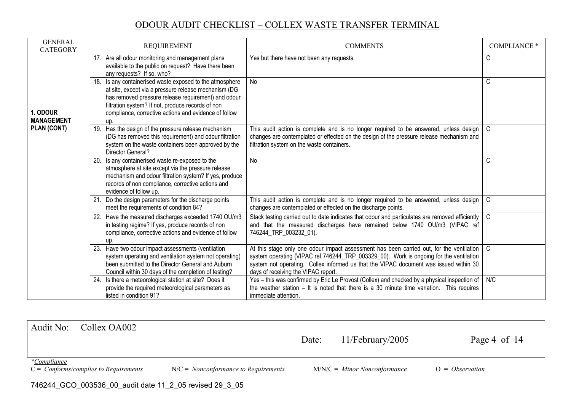| <b>GENERAL</b><br><b>CATEGORY</b> | <b>REQUIREMENT</b>                                                                                                                                                                                                                                                                           | <b>COMMENTS</b>                                                                                                                                                                                                                                                                                                             | <b>COMPLIANCE *</b> |
|-----------------------------------|----------------------------------------------------------------------------------------------------------------------------------------------------------------------------------------------------------------------------------------------------------------------------------------------|-----------------------------------------------------------------------------------------------------------------------------------------------------------------------------------------------------------------------------------------------------------------------------------------------------------------------------|---------------------|
|                                   | 17. Are all odour monitoring and management plans<br>available to the public on request? Have there been<br>any requests? If so, who?                                                                                                                                                        | Yes but there have not been any requests.                                                                                                                                                                                                                                                                                   | C                   |
| 1. ODOUR<br><b>MANAGEMENT</b>     | 18. Is any containerised waste exposed to the atmosphere<br>at site, except via a pressure release mechanism (DG<br>has removed pressure release requirement) and odour<br>filtration system? If not, produce records of non<br>compliance, corrective actions and evidence of follow<br>up. | No                                                                                                                                                                                                                                                                                                                          | C                   |
| PLAN (CONT)                       | 19. Has the design of the pressure release mechanism<br>(DG has removed this requirement) and odour filtration<br>system on the waste containers been approved by the<br>Director General?                                                                                                   | This audit action is complete and is no longer required to be answered, unless design $\mid$ C<br>changes are contemplated or effected on the design of the pressure release mechanism and<br>filtration system on the waste containers.                                                                                    |                     |
|                                   | 20. Is any containerised waste re-exposed to the<br>atmosphere at site except via the pressure release<br>mechanism and odour filtration system? If yes, produce<br>records of non compliance, corrective actions and<br>evidence of follow up.                                              | No                                                                                                                                                                                                                                                                                                                          | C                   |
|                                   | 21. Do the design parameters for the discharge points<br>meet the requirements of condition 84?                                                                                                                                                                                              | This audit action is complete and is no longer required to be answered, unless design<br>changes are contemplated or effected on the discharge points.                                                                                                                                                                      | $\overline{C}$      |
|                                   | 22. Have the measured discharges exceeded 1740 OU/m3<br>in testing regime? If yes, produce records of non<br>compliance, corrective actions and evidence of follow<br>up.                                                                                                                    | Stack testing carried out to date indicates that odour and particulates are removed efficiently   C<br>and that the measured discharges have remained below 1740 OU/m3 (VIPAC ref<br>746244 TRP 003232 01).                                                                                                                 |                     |
|                                   | 23. Have two odour impact assessments (ventilation<br>system operating and ventilation system not operating)<br>been submitted to the Director General and Auburn<br>Council within 30 days of the completion of testing?                                                                    | At this stage only one odour impact assessment has been carried out, for the ventilation $\mid$ C<br>system operating (VIPAC ref 746244_TRP_003329_00). Work is ongoing for the ventilation<br>system not operating. Collex informed us that the VIPAC document was issued within 30<br>days of receiving the VIPAC report. |                     |
|                                   | 24. Is there a meteorological station at site? Does it<br>provide the required meteorological parameters as<br>listed in condition 91?                                                                                                                                                       | Yes – this was confirmed by Eric Le Provost (Collex) and checked by a physical inspection of $\mid$ N/C<br>the weather station $-$ It is noted that there is a 30 minute time variation. This requires<br>immediate attention.                                                                                              |                     |

| Audit No:<br>Collex OA002                                                  |                                        | Date: | $11/Fe$ bruary/2005            | Page 4 of $14$    |  |
|----------------------------------------------------------------------------|----------------------------------------|-------|--------------------------------|-------------------|--|
|                                                                            |                                        |       |                                |                   |  |
| <i>*Compliance</i><br>$C = \text{Conforms}/\text{complex}$ to Requirements | $N/C = Nonconformance to Requirements$ |       | $M/N/C =$ Minor Nonconformance | $O = Observation$ |  |
| 746244_GCO_003536_00_audit date 11_2_05 revised 29_3_05                    |                                        |       |                                |                   |  |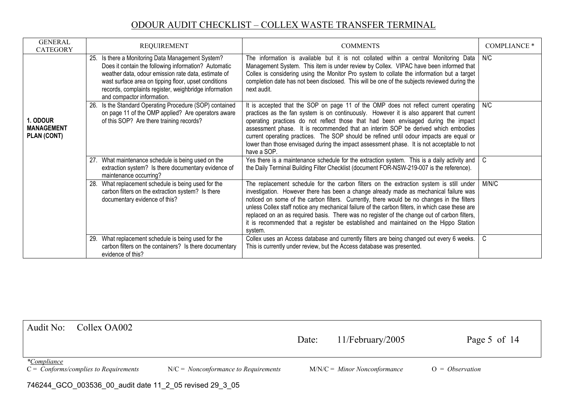| <b>GENERAL</b><br><b>CATEGORY</b>            | <b>REQUIREMENT</b>                                                                                                                                                                                                                                                                                              | <b>COMMENTS</b>                                                                                                                                                                                                                                                                                                                                                                                                                                                                                                                                                                       | <b>COMPLIANCE *</b> |
|----------------------------------------------|-----------------------------------------------------------------------------------------------------------------------------------------------------------------------------------------------------------------------------------------------------------------------------------------------------------------|---------------------------------------------------------------------------------------------------------------------------------------------------------------------------------------------------------------------------------------------------------------------------------------------------------------------------------------------------------------------------------------------------------------------------------------------------------------------------------------------------------------------------------------------------------------------------------------|---------------------|
|                                              | 25. Is there a Monitoring Data Management System?<br>Does it contain the following information? Automatic<br>weather data, odour emission rate data, estimate of<br>wast surface area on tipping floor, upset conditions<br>records, complaints register, weighbridge information<br>and compactor information. | The information is available but it is not collated within a central Monitoring Data<br>Management System. This item is under review by Collex. VIPAC have been informed that<br>Collex is considering using the Monitor Pro system to collate the information but a target<br>completion date has not been disclosed. This will be one of the subjects reviewed during the<br>next audit.                                                                                                                                                                                            | N/C                 |
| 1. ODOUR<br><b>MANAGEMENT</b><br>PLAN (CONT) | 26. Is the Standard Operating Procedure (SOP) contained<br>on page 11 of the OMP applied? Are operators aware<br>of this SOP? Are there training records?                                                                                                                                                       | It is accepted that the SOP on page 11 of the OMP does not reflect current operating   N/C<br>practices as the fan system is on continuously. However it is also apparent that current<br>operating practices do not reflect those that had been envisaged during the impact<br>assessment phase. It is recommended that an interim SOP be derived which embodies<br>current operating practices. The SOP should be refined until odour impacts are equal or<br>lower than those envisaged during the impact assessment phase. It is not acceptable to not<br>have a SOP.             |                     |
|                                              | 27. What maintenance schedule is being used on the<br>extraction system? Is there documentary evidence of<br>maintenance occurring?                                                                                                                                                                             | Yes there is a maintenance schedule for the extraction system. This is a daily activity and $\mid$ C<br>the Daily Terminal Building Filter Checklist (document FOR-NSW-219-007 is the reference).                                                                                                                                                                                                                                                                                                                                                                                     |                     |
|                                              | 28. What replacement schedule is being used for the<br>carbon filters on the extraction system? Is there<br>documentary evidence of this?                                                                                                                                                                       | The replacement schedule for the carbon filters on the extraction system is still under<br>investigation. However there has been a change already made as mechanical failure was<br>noticed on some of the carbon filters. Currently, there would be no changes in the filters<br>unless Collex staff notice any mechanical failure of the carbon filters, in which case these are<br>replaced on an as required basis. There was no register of the change out of carbon filters,<br>it is recommended that a register be established and maintained on the Hippo Station<br>system. | M/N/C               |
|                                              | 29. What replacement schedule is being used for the<br>carbon filters on the containers? Is there documentary<br>evidence of this?                                                                                                                                                                              | Collex uses an Access database and currently filters are being changed out every 6 weeks.<br>This is currently under review, but the Access database was presented.                                                                                                                                                                                                                                                                                                                                                                                                                   | C                   |

| Audit No:<br>Collex OA002                                           |                                        | Date: | $11/Fe$ bruary/2005            | Page 5 of 14      |  |  |
|---------------------------------------------------------------------|----------------------------------------|-------|--------------------------------|-------------------|--|--|
|                                                                     |                                        |       |                                |                   |  |  |
| *Compliance<br>$C = \text{Conforms}/\text{complex to Requirements}$ | $N/C = Nonconformance to Requirements$ |       | $M/N/C =$ Minor Nonconformance | $O = Observation$ |  |  |
| 746244_GCO_003536_00_audit date 11_2_05 revised 29_3_05             |                                        |       |                                |                   |  |  |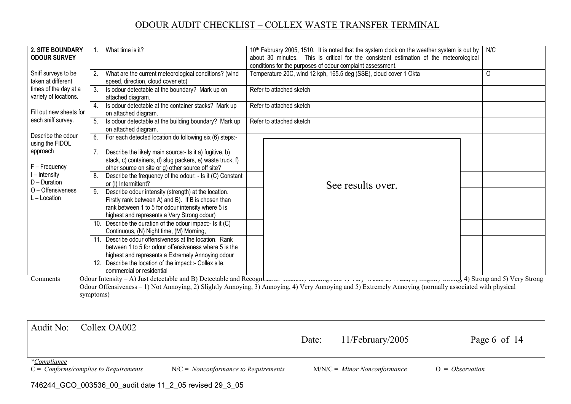| $\circ$<br>Sniff surveys to be<br>Temperature 20C, wind 12 kph, 165.5 deg (SSE), cloud cover 1 Okta<br>2. What are the current meteorological conditions? (wind<br>taken at different<br>speed, direction, cloud cover etc)<br>times of the day at a<br>Is odour detectable at the boundary? Mark up on<br>3.<br>Refer to attached sketch<br>variety of locations.<br>attached diagram.<br>Is odour detectable at the container stacks? Mark up<br>Refer to attached sketch<br>4.<br>Fill out new sheets for<br>on attached diagram.<br>each sniff survey.<br>Is odour detectable at the building boundary? Mark up<br>5.<br>Refer to attached sketch<br>on attached diagram.<br>Describe the odour<br>6. For each detected location do following six (6) steps:-<br>using the FIDOL<br>approach<br>Describe the likely main source:- Is it a) fugitive, b)<br>stack, c) containers, d) slug packers, e) waste truck, f)<br>F - Frequency<br>other source on site or g) other source off site?<br>I – Intensity<br>Describe the frequency of the odour: - Is it (C) Constant<br>8.<br>D - Duration<br>or (I) Intermittent?<br>See results over.<br>O - Offensiveness<br>9. Describe odour intensity (strength) at the location. | 2. SITE BOUNDARY<br><b>ODOUR SURVEY</b> | What time is it?                                    | 10th February 2005, 1510. It is noted that the system clock on the weather system is out by<br>about 30 minutes. This is critical for the consistent estimation of the meteorological<br>conditions for the purposes of odour complaint assessment. | N/C |
|---------------------------------------------------------------------------------------------------------------------------------------------------------------------------------------------------------------------------------------------------------------------------------------------------------------------------------------------------------------------------------------------------------------------------------------------------------------------------------------------------------------------------------------------------------------------------------------------------------------------------------------------------------------------------------------------------------------------------------------------------------------------------------------------------------------------------------------------------------------------------------------------------------------------------------------------------------------------------------------------------------------------------------------------------------------------------------------------------------------------------------------------------------------------------------------------------------------------------------|-----------------------------------------|-----------------------------------------------------|-----------------------------------------------------------------------------------------------------------------------------------------------------------------------------------------------------------------------------------------------------|-----|
|                                                                                                                                                                                                                                                                                                                                                                                                                                                                                                                                                                                                                                                                                                                                                                                                                                                                                                                                                                                                                                                                                                                                                                                                                                 |                                         |                                                     |                                                                                                                                                                                                                                                     |     |
|                                                                                                                                                                                                                                                                                                                                                                                                                                                                                                                                                                                                                                                                                                                                                                                                                                                                                                                                                                                                                                                                                                                                                                                                                                 |                                         |                                                     |                                                                                                                                                                                                                                                     |     |
|                                                                                                                                                                                                                                                                                                                                                                                                                                                                                                                                                                                                                                                                                                                                                                                                                                                                                                                                                                                                                                                                                                                                                                                                                                 |                                         |                                                     |                                                                                                                                                                                                                                                     |     |
|                                                                                                                                                                                                                                                                                                                                                                                                                                                                                                                                                                                                                                                                                                                                                                                                                                                                                                                                                                                                                                                                                                                                                                                                                                 |                                         |                                                     |                                                                                                                                                                                                                                                     |     |
|                                                                                                                                                                                                                                                                                                                                                                                                                                                                                                                                                                                                                                                                                                                                                                                                                                                                                                                                                                                                                                                                                                                                                                                                                                 |                                         |                                                     |                                                                                                                                                                                                                                                     |     |
|                                                                                                                                                                                                                                                                                                                                                                                                                                                                                                                                                                                                                                                                                                                                                                                                                                                                                                                                                                                                                                                                                                                                                                                                                                 |                                         |                                                     |                                                                                                                                                                                                                                                     |     |
|                                                                                                                                                                                                                                                                                                                                                                                                                                                                                                                                                                                                                                                                                                                                                                                                                                                                                                                                                                                                                                                                                                                                                                                                                                 |                                         |                                                     |                                                                                                                                                                                                                                                     |     |
|                                                                                                                                                                                                                                                                                                                                                                                                                                                                                                                                                                                                                                                                                                                                                                                                                                                                                                                                                                                                                                                                                                                                                                                                                                 |                                         |                                                     |                                                                                                                                                                                                                                                     |     |
|                                                                                                                                                                                                                                                                                                                                                                                                                                                                                                                                                                                                                                                                                                                                                                                                                                                                                                                                                                                                                                                                                                                                                                                                                                 |                                         |                                                     |                                                                                                                                                                                                                                                     |     |
|                                                                                                                                                                                                                                                                                                                                                                                                                                                                                                                                                                                                                                                                                                                                                                                                                                                                                                                                                                                                                                                                                                                                                                                                                                 |                                         |                                                     |                                                                                                                                                                                                                                                     |     |
|                                                                                                                                                                                                                                                                                                                                                                                                                                                                                                                                                                                                                                                                                                                                                                                                                                                                                                                                                                                                                                                                                                                                                                                                                                 |                                         |                                                     |                                                                                                                                                                                                                                                     |     |
|                                                                                                                                                                                                                                                                                                                                                                                                                                                                                                                                                                                                                                                                                                                                                                                                                                                                                                                                                                                                                                                                                                                                                                                                                                 |                                         |                                                     |                                                                                                                                                                                                                                                     |     |
|                                                                                                                                                                                                                                                                                                                                                                                                                                                                                                                                                                                                                                                                                                                                                                                                                                                                                                                                                                                                                                                                                                                                                                                                                                 |                                         |                                                     |                                                                                                                                                                                                                                                     |     |
|                                                                                                                                                                                                                                                                                                                                                                                                                                                                                                                                                                                                                                                                                                                                                                                                                                                                                                                                                                                                                                                                                                                                                                                                                                 | $L -$ Location                          | Firstly rank between A) and B). If B is chosen than |                                                                                                                                                                                                                                                     |     |
| rank between 1 to 5 for odour intensity where 5 is                                                                                                                                                                                                                                                                                                                                                                                                                                                                                                                                                                                                                                                                                                                                                                                                                                                                                                                                                                                                                                                                                                                                                                              |                                         |                                                     |                                                                                                                                                                                                                                                     |     |
| highest and represents a Very Strong odour)                                                                                                                                                                                                                                                                                                                                                                                                                                                                                                                                                                                                                                                                                                                                                                                                                                                                                                                                                                                                                                                                                                                                                                                     |                                         |                                                     |                                                                                                                                                                                                                                                     |     |
| 10. Describe the duration of the odour impact:- Is it (C)                                                                                                                                                                                                                                                                                                                                                                                                                                                                                                                                                                                                                                                                                                                                                                                                                                                                                                                                                                                                                                                                                                                                                                       |                                         |                                                     |                                                                                                                                                                                                                                                     |     |
| Continuous, (N) Night time, (M) Morning,                                                                                                                                                                                                                                                                                                                                                                                                                                                                                                                                                                                                                                                                                                                                                                                                                                                                                                                                                                                                                                                                                                                                                                                        |                                         |                                                     |                                                                                                                                                                                                                                                     |     |
| 11. Describe odour offensiveness at the location. Rank                                                                                                                                                                                                                                                                                                                                                                                                                                                                                                                                                                                                                                                                                                                                                                                                                                                                                                                                                                                                                                                                                                                                                                          |                                         |                                                     |                                                                                                                                                                                                                                                     |     |
| between 1 to 5 for odour offensiveness where 5 is the                                                                                                                                                                                                                                                                                                                                                                                                                                                                                                                                                                                                                                                                                                                                                                                                                                                                                                                                                                                                                                                                                                                                                                           |                                         |                                                     |                                                                                                                                                                                                                                                     |     |
| highest and represents a Extremely Annoying odour                                                                                                                                                                                                                                                                                                                                                                                                                                                                                                                                                                                                                                                                                                                                                                                                                                                                                                                                                                                                                                                                                                                                                                               |                                         |                                                     |                                                                                                                                                                                                                                                     |     |
| 12. Describe the location of the impact::- Collex site,                                                                                                                                                                                                                                                                                                                                                                                                                                                                                                                                                                                                                                                                                                                                                                                                                                                                                                                                                                                                                                                                                                                                                                         |                                         |                                                     |                                                                                                                                                                                                                                                     |     |
| commercial or residential                                                                                                                                                                                                                                                                                                                                                                                                                                                                                                                                                                                                                                                                                                                                                                                                                                                                                                                                                                                                                                                                                                                                                                                                       |                                         |                                                     |                                                                                                                                                                                                                                                     |     |
| Odour Intensity – A) Just detectable and B) Detectable and Recognt<br>Comments                                                                                                                                                                                                                                                                                                                                                                                                                                                                                                                                                                                                                                                                                                                                                                                                                                                                                                                                                                                                                                                                                                                                                  |                                         |                                                     |                                                                                                                                                                                                                                                     |     |
| Odour Offensiveness - 1) Not Annoying, 2) Slightly Annoying, 3) Annoying, 4) Very Annoying and 5) Extremely Annoying (normally associated with physical<br>symptoms)                                                                                                                                                                                                                                                                                                                                                                                                                                                                                                                                                                                                                                                                                                                                                                                                                                                                                                                                                                                                                                                            |                                         |                                                     |                                                                                                                                                                                                                                                     |     |

| Audit No:<br>Collex OA002                                                  |                                        | Date: | $11/Fe$ bruary/2005            | Page 6 of 14      |
|----------------------------------------------------------------------------|----------------------------------------|-------|--------------------------------|-------------------|
| <i>*Compliance</i><br>$C = \text{Conforms}/\text{complex to Requirements}$ | $N/C = Nonconformance to Requirements$ |       | $M/N/C =$ Minor Nonconformance | $O = Observation$ |

746244\_GCO\_003536\_00\_audit date 11\_2\_05 revised 29\_3\_05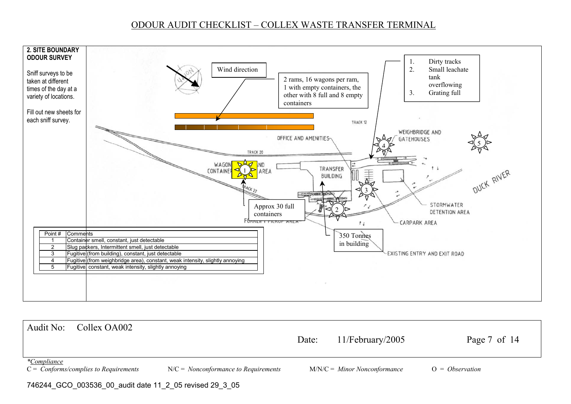

Audit No: Collex OA002 Date: 11/February/2005 Page 7 of 14 *\*Compliance* C = *Conforms/complies to Requirements* N/C = *Nonconformance to Requirements* M/N/C = *Minor Nonconformance* O = *Observation*  746244\_GCO\_003536\_00\_audit date 11\_2\_05 revised 29\_3\_05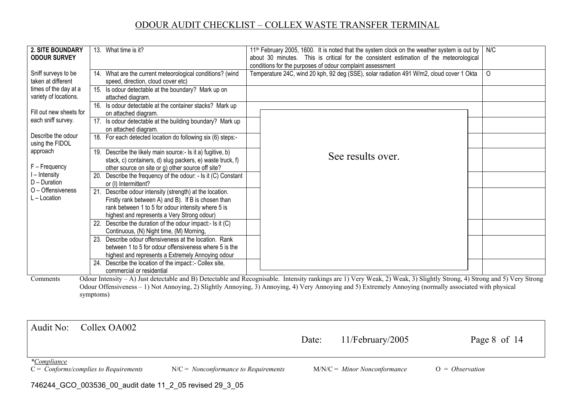| <b>2. SITE BOUNDARY</b><br><b>ODOUR SURVEY</b>                                                                                                                                                                                                                                                                                                                                                                                                                                                                                                                                                                       |  | 13. What time is it?                                                                                                                                                                                                 | 11 <sup>th</sup> February 2005, 1600. It is noted that the system clock on the weather system is out by<br>about 30 minutes. This is critical for the consistent estimation of the meteorological<br>conditions for the purposes of odour complaint assessment | N/C      |  |  |
|----------------------------------------------------------------------------------------------------------------------------------------------------------------------------------------------------------------------------------------------------------------------------------------------------------------------------------------------------------------------------------------------------------------------------------------------------------------------------------------------------------------------------------------------------------------------------------------------------------------------|--|----------------------------------------------------------------------------------------------------------------------------------------------------------------------------------------------------------------------|----------------------------------------------------------------------------------------------------------------------------------------------------------------------------------------------------------------------------------------------------------------|----------|--|--|
| Sniff surveys to be<br>taken at different                                                                                                                                                                                                                                                                                                                                                                                                                                                                                                                                                                            |  | 14. What are the current meteorological conditions? (wind<br>speed, direction, cloud cover etc)                                                                                                                      | Temperature 24C, wind 20 kph, 92 deg (SSE), solar radiation 491 W/m2, cloud cover 1 Okta                                                                                                                                                                       | $\Omega$ |  |  |
| times of the day at a<br>variety of locations.                                                                                                                                                                                                                                                                                                                                                                                                                                                                                                                                                                       |  | 15. Is odour detectable at the boundary? Mark up on<br>attached diagram.                                                                                                                                             |                                                                                                                                                                                                                                                                |          |  |  |
| Fill out new sheets for                                                                                                                                                                                                                                                                                                                                                                                                                                                                                                                                                                                              |  | 16. Is odour detectable at the container stacks? Mark up<br>on attached diagram.                                                                                                                                     |                                                                                                                                                                                                                                                                |          |  |  |
| each sniff survey.                                                                                                                                                                                                                                                                                                                                                                                                                                                                                                                                                                                                   |  | 17. Is odour detectable at the building boundary? Mark up<br>on attached diagram.                                                                                                                                    |                                                                                                                                                                                                                                                                |          |  |  |
| Describe the odour<br>using the FIDOL                                                                                                                                                                                                                                                                                                                                                                                                                                                                                                                                                                                |  | 18. For each detected location do following six (6) steps:-                                                                                                                                                          |                                                                                                                                                                                                                                                                |          |  |  |
| approach<br>F - Frequency                                                                                                                                                                                                                                                                                                                                                                                                                                                                                                                                                                                            |  | 19. Describe the likely main source:- Is it a) fugitive, b)<br>stack, c) containers, d) slug packers, e) waste truck, f)<br>other source on site or g) other source off site?                                        | See results over.                                                                                                                                                                                                                                              |          |  |  |
| l – Intensity<br>D - Duration                                                                                                                                                                                                                                                                                                                                                                                                                                                                                                                                                                                        |  | 20. Describe the frequency of the odour: - Is it (C) Constant<br>or (I) Intermittent?                                                                                                                                |                                                                                                                                                                                                                                                                |          |  |  |
| O - Offensiveness<br>L - Location                                                                                                                                                                                                                                                                                                                                                                                                                                                                                                                                                                                    |  | 21. Describe odour intensity (strength) at the location.<br>Firstly rank between A) and B). If B is chosen than<br>rank between 1 to 5 for odour intensity where 5 is<br>highest and represents a Very Strong odour) |                                                                                                                                                                                                                                                                |          |  |  |
|                                                                                                                                                                                                                                                                                                                                                                                                                                                                                                                                                                                                                      |  | 22. Describe the duration of the odour impact:- Is it (C)<br>Continuous, (N) Night time, (M) Morning,                                                                                                                |                                                                                                                                                                                                                                                                |          |  |  |
|                                                                                                                                                                                                                                                                                                                                                                                                                                                                                                                                                                                                                      |  | 23. Describe odour offensiveness at the location. Rank<br>between 1 to 5 for odour offensiveness where 5 is the<br>highest and represents a Extremely Annoying odour                                                 |                                                                                                                                                                                                                                                                |          |  |  |
|                                                                                                                                                                                                                                                                                                                                                                                                                                                                                                                                                                                                                      |  | 24. Describe the location of the impact::- Collex site,<br>commercial or residential                                                                                                                                 |                                                                                                                                                                                                                                                                |          |  |  |
| Odour Intensity - A) Just detectable and B) Detectable and Recognisable. Intensity rankings are 1) Very Weak, 2) Weak, 3) Slightly Strong, 4) Strong and 5) Very Strong<br>Comments<br>$\mathcal{O}(\mathcal{C}_{n+1}, \mathcal{C}_{n+1})$ and $\mathcal{O}(\mathcal{C}_{n+1}, \mathcal{C}_{n+1}, \mathcal{C}_{n+1}, \mathcal{C}_{n+1}, \mathcal{C}_{n+1}, \mathcal{C}_{n+1}, \mathcal{C}_{n+1}, \mathcal{C}_{n+1}, \mathcal{C}_{n+1}, \mathcal{C}_{n+1}, \mathcal{C}_{n+1}, \mathcal{C}_{n+1}, \mathcal{C}_{n+1}, \mathcal{C}_{n+1}, \mathcal{C}_{n+1}, \mathcal{C}_{n+1}, \mathcal{C}_{n+1}, \mathcal{C}_{n+1}, \$ |  |                                                                                                                                                                                                                      |                                                                                                                                                                                                                                                                |          |  |  |

Odour Offensiveness – 1) Not Annoying, 2) Slightly Annoying, 3) Annoying, 4) Very Annoying and 5) Extremely Annoying (normally associated with physical symptoms)

| Collex OA002<br>Audit No:                                                  |                                        | Date: | $11/Fe$ bruary/2005            | Page 8 of 14      |
|----------------------------------------------------------------------------|----------------------------------------|-------|--------------------------------|-------------------|
| <i>*Compliance</i><br>$C = \text{Conforms}/\text{complex to Requirements}$ | $N/C = Nonconformance to Requirements$ |       | $M/N/C =$ Minor Nonconformance | $O = Observation$ |

746244\_GCO\_003536\_00\_audit date 11\_2\_05 revised 29\_3\_05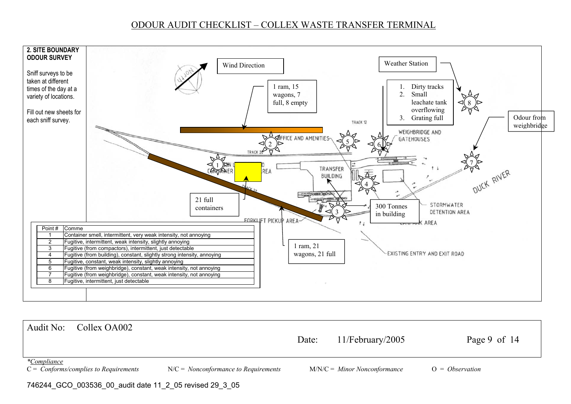

Audit No: Collex OA002 Date: 11/February/2005 Page 9 of 14 *\*Compliance* C = *Conforms/complies to Requirements* N/C = *Nonconformance to Requirements* M/N/C = *Minor Nonconformance* O = *Observation*  746244\_GCO\_003536\_00\_audit date 11\_2\_05 revised 29\_3\_05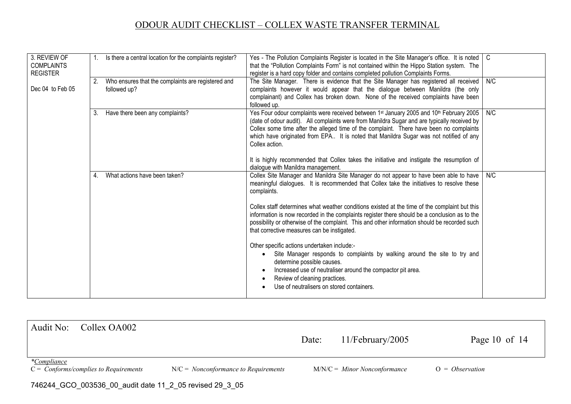| 3. REVIEW OF<br><b>COMPLAINTS</b><br><b>REGISTER</b> |    | Is there a central location for the complaints register?           | Yes - The Pollution Complaints Register is located in the Site Manager's office. It is noted<br>that the "Pollution Complaints Form" is not contained within the Hippo Station system. The<br>register is a hard copy folder and contains completed pollution Complaints Forms.                                                                                                                                                                                                                                                                                                                                                                                                                                                                                                                                                                            | C   |
|------------------------------------------------------|----|--------------------------------------------------------------------|------------------------------------------------------------------------------------------------------------------------------------------------------------------------------------------------------------------------------------------------------------------------------------------------------------------------------------------------------------------------------------------------------------------------------------------------------------------------------------------------------------------------------------------------------------------------------------------------------------------------------------------------------------------------------------------------------------------------------------------------------------------------------------------------------------------------------------------------------------|-----|
| Dec 04 to Feb 05                                     | 2. | Who ensures that the complaints are registered and<br>followed up? | The Site Manager. There is evidence that the Site Manager has registered all received<br>complaints however it would appear that the dialogue between Manildra (the only<br>complainant) and Collex has broken down. None of the received complaints have been<br>followed up.                                                                                                                                                                                                                                                                                                                                                                                                                                                                                                                                                                             | N/C |
|                                                      | 3. | Have there been any complaints?                                    | Yes Four odour complaints were received between 1 <sup>st</sup> January 2005 and 10 <sup>th</sup> February 2005<br>(date of odour audit). All complaints were from Manildra Sugar and are typically received by<br>Collex some time after the alleged time of the complaint. There have been no complaints<br>which have originated from EPA It is noted that Manildra Sugar was not notified of any<br>Collex action.<br>It is highly recommended that Collex takes the initiative and instigate the resumption of<br>dialogue with Manildra management.                                                                                                                                                                                                                                                                                                  | N/C |
|                                                      | 4. | What actions have been taken?                                      | Collex Site Manager and Manildra Site Manager do not appear to have been able to have<br>meaningful dialogues. It is recommended that Collex take the initiatives to resolve these<br>complaints.<br>Collex staff determines what weather conditions existed at the time of the complaint but this<br>information is now recorded in the complaints register there should be a conclusion as to the<br>possibility or otherwise of the complaint. This and other information should be recorded such<br>that corrective measures can be instigated.<br>Other specific actions undertaken include:-<br>Site Manager responds to complaints by walking around the site to try and<br>determine possible causes.<br>Increased use of neutraliser around the compactor pit area.<br>Review of cleaning practices.<br>Use of neutralisers on stored containers. | N/C |

| Audit No:                                                                  | Collex OA002 |                                        | Date: | $11/Fe$ bruary/2005            | Page 10 of $14$   |  |
|----------------------------------------------------------------------------|--------------|----------------------------------------|-------|--------------------------------|-------------------|--|
| <i>*Compliance</i><br>$C = \text{Conforms}/\text{complex}$ to Requirements |              | $N/C = Nonconformance$ to Requirements |       | $M/N/C =$ Minor Nonconformance | $O = Observation$ |  |
| 746244 GCO 003536 00 audit date 11 2 05 revised 29 3 05                    |              |                                        |       |                                |                   |  |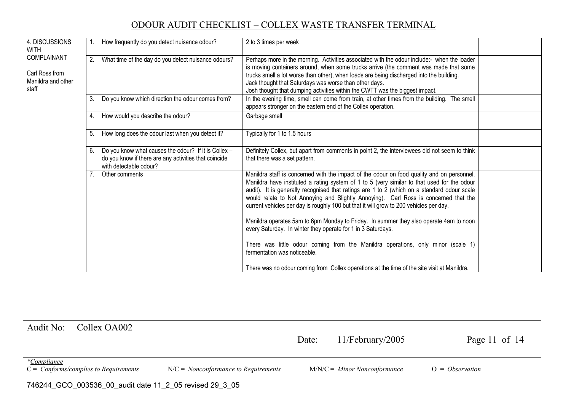| 4. DISCUSSIONS<br>WITH                                       |    | How frequently do you detect nuisance odour?                                                                                            | 2 to 3 times per week                                                                                                                                                                                                                                                                                                                                                                                                                                                                                                                                                                                                                                                                                                                                                                                                                                   |  |
|--------------------------------------------------------------|----|-----------------------------------------------------------------------------------------------------------------------------------------|---------------------------------------------------------------------------------------------------------------------------------------------------------------------------------------------------------------------------------------------------------------------------------------------------------------------------------------------------------------------------------------------------------------------------------------------------------------------------------------------------------------------------------------------------------------------------------------------------------------------------------------------------------------------------------------------------------------------------------------------------------------------------------------------------------------------------------------------------------|--|
| COMPLAINANT<br>Carl Ross from<br>Manildra and other<br>staff | 2. | What time of the day do you detect nuisance odours?                                                                                     | Perhaps more in the morning. Activities associated with the odour include:- when the loader<br>is moving containers around, when some trucks arrive (the comment was made that some<br>trucks smell a lot worse than other), when loads are being discharged into the building.<br>Jack thought that Saturdays was worse than other days.<br>Josh thought that dumping activities within the CWTT was the biggest impact.                                                                                                                                                                                                                                                                                                                                                                                                                               |  |
|                                                              | 3. | Do you know which direction the odour comes from?                                                                                       | In the evening time, smell can come from train, at other times from the building. The smell<br>appears stronger on the eastern end of the Collex operation.                                                                                                                                                                                                                                                                                                                                                                                                                                                                                                                                                                                                                                                                                             |  |
|                                                              |    | 4. How would you describe the odour?                                                                                                    | Garbage smell                                                                                                                                                                                                                                                                                                                                                                                                                                                                                                                                                                                                                                                                                                                                                                                                                                           |  |
|                                                              | 5. | How long does the odour last when you detect it?                                                                                        | Typically for 1 to 1.5 hours                                                                                                                                                                                                                                                                                                                                                                                                                                                                                                                                                                                                                                                                                                                                                                                                                            |  |
|                                                              | 6. | Do you know what causes the odour? If it is Collex -<br>do you know if there are any activities that coincide<br>with detectable odour? | Definitely Collex, but apart from comments in point 2, the interviewees did not seem to think<br>that there was a set pattern.                                                                                                                                                                                                                                                                                                                                                                                                                                                                                                                                                                                                                                                                                                                          |  |
|                                                              |    | Other comments                                                                                                                          | Manildra staff is concerned with the impact of the odour on food quality and on personnel.<br>Manildra have instituted a rating system of 1 to 5 (very similar to that used for the odour<br>audit). It is generally recognised that ratings are 1 to 2 (which on a standard odour scale<br>would relate to Not Annoying and Slightly Annoying). Carl Ross is concerned that the<br>current vehicles per day is roughly 100 but that it will grow to 200 vehicles per day.<br>Manildra operates 5am to 6pm Monday to Friday. In summer they also operate 4am to noon<br>every Saturday. In winter they operate for 1 in 3 Saturdays.<br>There was little odour coming from the Manildra operations, only minor (scale 1)<br>fermentation was noticeable.<br>There was no odour coming from Collex operations at the time of the site visit at Manildra. |  |

| Audit No:                                               | Collex OA002                                         |                                        | Date: | $11/Fe$ bruary/2005            | Page 11 of $14$   |  |  |
|---------------------------------------------------------|------------------------------------------------------|----------------------------------------|-------|--------------------------------|-------------------|--|--|
| <i>*Compliance</i>                                      | $C = \text{Conforms}/\text{complex to Requirements}$ | $N/C = Nonconformance$ to Requirements |       | $M/N/C =$ Minor Nonconformance | $O = Observation$ |  |  |
| 746244_GCO_003536_00_audit date 11_2_05 revised 29_3_05 |                                                      |                                        |       |                                |                   |  |  |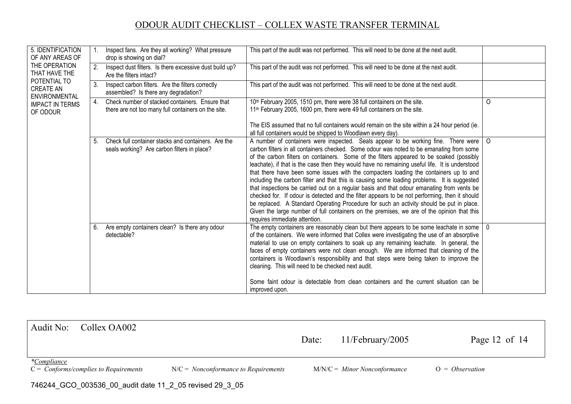| 5. IDENTIFICATION<br>OF ANY AREAS OF                     |    | Inspect fans. Are they all working? What pressure<br>drop is showing on dial?                          | This part of the audit was not performed. This will need to be done at the next audit.                                                                                                                                                                                                                                                                                                                                                                                                                                                                                                                                                                                                                                                                                                                                                                                                                                                                                                        |              |
|----------------------------------------------------------|----|--------------------------------------------------------------------------------------------------------|-----------------------------------------------------------------------------------------------------------------------------------------------------------------------------------------------------------------------------------------------------------------------------------------------------------------------------------------------------------------------------------------------------------------------------------------------------------------------------------------------------------------------------------------------------------------------------------------------------------------------------------------------------------------------------------------------------------------------------------------------------------------------------------------------------------------------------------------------------------------------------------------------------------------------------------------------------------------------------------------------|--------------|
| THE OPERATION<br>THAT HAVE THE                           | 2. | Inspect dust filters. Is there excessive dust build up?<br>Are the filters intact?                     | This part of the audit was not performed. This will need to be done at the next audit.                                                                                                                                                                                                                                                                                                                                                                                                                                                                                                                                                                                                                                                                                                                                                                                                                                                                                                        |              |
| POTENTIAL TO<br><b>CREATE AN</b><br><b>ENVIRONMENTAL</b> | 3. | Inspect carbon filters. Are the filters correctly<br>assembled? Is there any degradation?              | This part of the audit was not performed. This will need to be done at the next audit.                                                                                                                                                                                                                                                                                                                                                                                                                                                                                                                                                                                                                                                                                                                                                                                                                                                                                                        |              |
| <b>IMPACT IN TERMS</b><br>OF ODOUR                       | 4. | Check number of stacked containers. Ensure that<br>there are not too many full containers on the site. | 10 <sup>th</sup> February 2005, 1510 pm, there were 38 full containers on the site.<br>11 <sup>th</sup> February 2005, 1600 pm, there were 49 full containers on the site.<br>The EIS assumed that no full containers would remain on the site within a 24 hour period (ie.<br>all full containers would be shipped to Woodlawn every day).                                                                                                                                                                                                                                                                                                                                                                                                                                                                                                                                                                                                                                                   | $\Omega$     |
|                                                          | 5. | Check full container stacks and containers. Are the<br>seals working? Are carbon filters in place?     | A number of containers were inspected. Seals appear to be working fine. There were<br>carbon filters in all containers checked. Some odour was noted to be emanating from some<br>of the carbon filters on containers. Some of the filters appeared to be soaked (possibly<br>leachate), if that is the case then they would have no remaining useful life. It is understood<br>that there have been some issues with the compacters loading the containers up to and<br>including the carbon filter and that this is causing some loading problems. It is suggested<br>that inspections be carried out on a regular basis and that odour emanating from vents be<br>checked for. If odour is detected and the filter appears to be not performing, then it should<br>be replaced. A Standard Operating Procedure for such an activity should be put in place.<br>Given the large number of full containers on the premises, we are of the opinion that this<br>requires immediate attention. | $\circ$      |
|                                                          | 6. | Are empty containers clean? Is there any odour<br>detectable?                                          | The empty containers are reasonably clean but there appears to be some leachate in some<br>of the containers. We were informed that Collex were investigating the use of an absorptive<br>material to use on empty containers to soak up any remaining leachate. In general, the<br>faces of empty containers were not clean enough. We are informed that cleaning of the<br>containers is Woodlawn's responsibility and that steps were being taken to improve the<br>cleaning. This will need to be checked next audit.<br>Some faint odour is detectable from clean containers and the current situation can be<br>improved upon.                                                                                                                                                                                                                                                                                                                                                          | $\mathbf{0}$ |

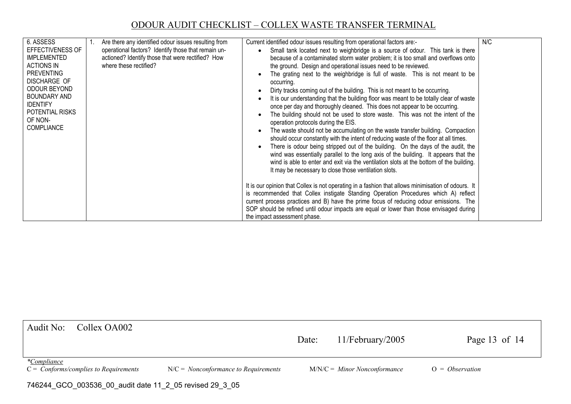| 6. ASSESS<br><b>EFFECTIVENESS OF</b>                         | Are there any identified odour issues resulting from<br>operational factors? Identify those that remain un- | Current identified odour issues resulting from operational factors are:-<br>Small tank located next to weighbridge is a source of odour. This tank is there                   | N/C |
|--------------------------------------------------------------|-------------------------------------------------------------------------------------------------------------|-------------------------------------------------------------------------------------------------------------------------------------------------------------------------------|-----|
| <b>IMPLEMENTED</b><br><b>ACTIONS IN</b><br><b>PREVENTING</b> | actioned? Identify those that were rectified? How<br>where these rectified?                                 | because of a contaminated storm water problem; it is too small and overflows onto<br>the ground. Design and operational issues need to be reviewed.                           |     |
| <b>DISCHARGE OF</b>                                          |                                                                                                             | The grating next to the weighbridge is full of waste. This is not meant to be<br>occurring.                                                                                   |     |
| ODOUR BEYOND<br>BOUNDARY AND                                 |                                                                                                             | Dirty tracks coming out of the building. This is not meant to be occurring.<br>It is our understanding that the building floor was meant to be totally clear of waste         |     |
| <b>IDENTIFY</b><br>POTENTIAL RISKS                           |                                                                                                             | once per day and thoroughly cleaned. This does not appear to be occurring.<br>The building should not be used to store waste. This was not the intent of the                  |     |
| OF NON-<br><b>COMPLIANCE</b>                                 |                                                                                                             | operation protocols during the EIS.                                                                                                                                           |     |
|                                                              |                                                                                                             | The waste should not be accumulating on the waste transfer building. Compaction<br>should occur constantly with the intent of reducing waste of the floor at all times.       |     |
|                                                              |                                                                                                             | There is odour being stripped out of the building. On the days of the audit, the<br>wind was essentially parallel to the long axis of the building. It appears that the       |     |
|                                                              |                                                                                                             | wind is able to enter and exit via the ventilation slots at the bottom of the building.<br>It may be necessary to close those ventilation slots.                              |     |
|                                                              |                                                                                                             | It is our opinion that Collex is not operating in a fashion that allows minimisation of odours. It                                                                            |     |
|                                                              |                                                                                                             | is recommended that Collex instigate Standing Operation Procedures which A) reflect<br>current process practices and B) have the prime focus of reducing odour emissions. The |     |
|                                                              |                                                                                                             | SOP should be refined until odour impacts are equal or lower than those envisaged during<br>the impact assessment phase.                                                      |     |

| Audit No:<br>Collex OA002                                                  |                                        | Date: | $11/Fe$ bruary/2005            | Page 13 of $14$   |  |  |  |  |  |
|----------------------------------------------------------------------------|----------------------------------------|-------|--------------------------------|-------------------|--|--|--|--|--|
| <i>*Compliance</i><br>$C = \text{Conforms}/\text{complex to Requirements}$ | $N/C = Nonconformance$ to Requirements |       | $M/N/C =$ Minor Nonconformance | $O = Observation$ |  |  |  |  |  |
| 746244_GCO_003536_00_audit date 11_2_05 revised 29_3_05                    |                                        |       |                                |                   |  |  |  |  |  |